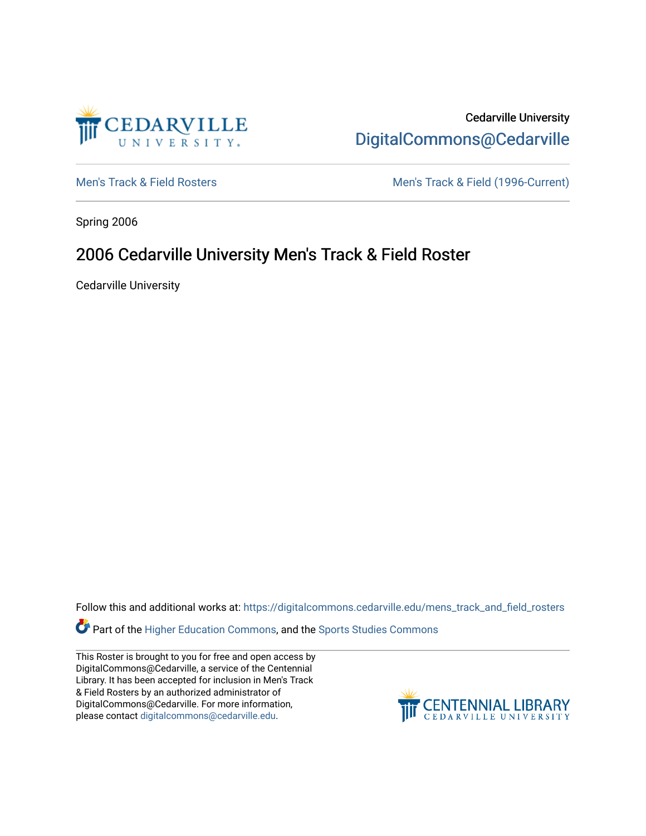

Cedarville University [DigitalCommons@Cedarville](https://digitalcommons.cedarville.edu/) 

[Men's Track & Field Rosters](https://digitalcommons.cedarville.edu/mens_track_and_field_rosters) Men's Track & Field (1996-Current)

Spring 2006

## 2006 Cedarville University Men's Track & Field Roster

Cedarville University

Follow this and additional works at: [https://digitalcommons.cedarville.edu/mens\\_track\\_and\\_field\\_rosters](https://digitalcommons.cedarville.edu/mens_track_and_field_rosters?utm_source=digitalcommons.cedarville.edu%2Fmens_track_and_field_rosters%2F48&utm_medium=PDF&utm_campaign=PDFCoverPages)

Part of the [Higher Education Commons,](http://network.bepress.com/hgg/discipline/1245?utm_source=digitalcommons.cedarville.edu%2Fmens_track_and_field_rosters%2F48&utm_medium=PDF&utm_campaign=PDFCoverPages) and the [Sports Studies Commons](http://network.bepress.com/hgg/discipline/1198?utm_source=digitalcommons.cedarville.edu%2Fmens_track_and_field_rosters%2F48&utm_medium=PDF&utm_campaign=PDFCoverPages) 

This Roster is brought to you for free and open access by DigitalCommons@Cedarville, a service of the Centennial Library. It has been accepted for inclusion in Men's Track & Field Rosters by an authorized administrator of DigitalCommons@Cedarville. For more information, please contact [digitalcommons@cedarville.edu](mailto:digitalcommons@cedarville.edu).